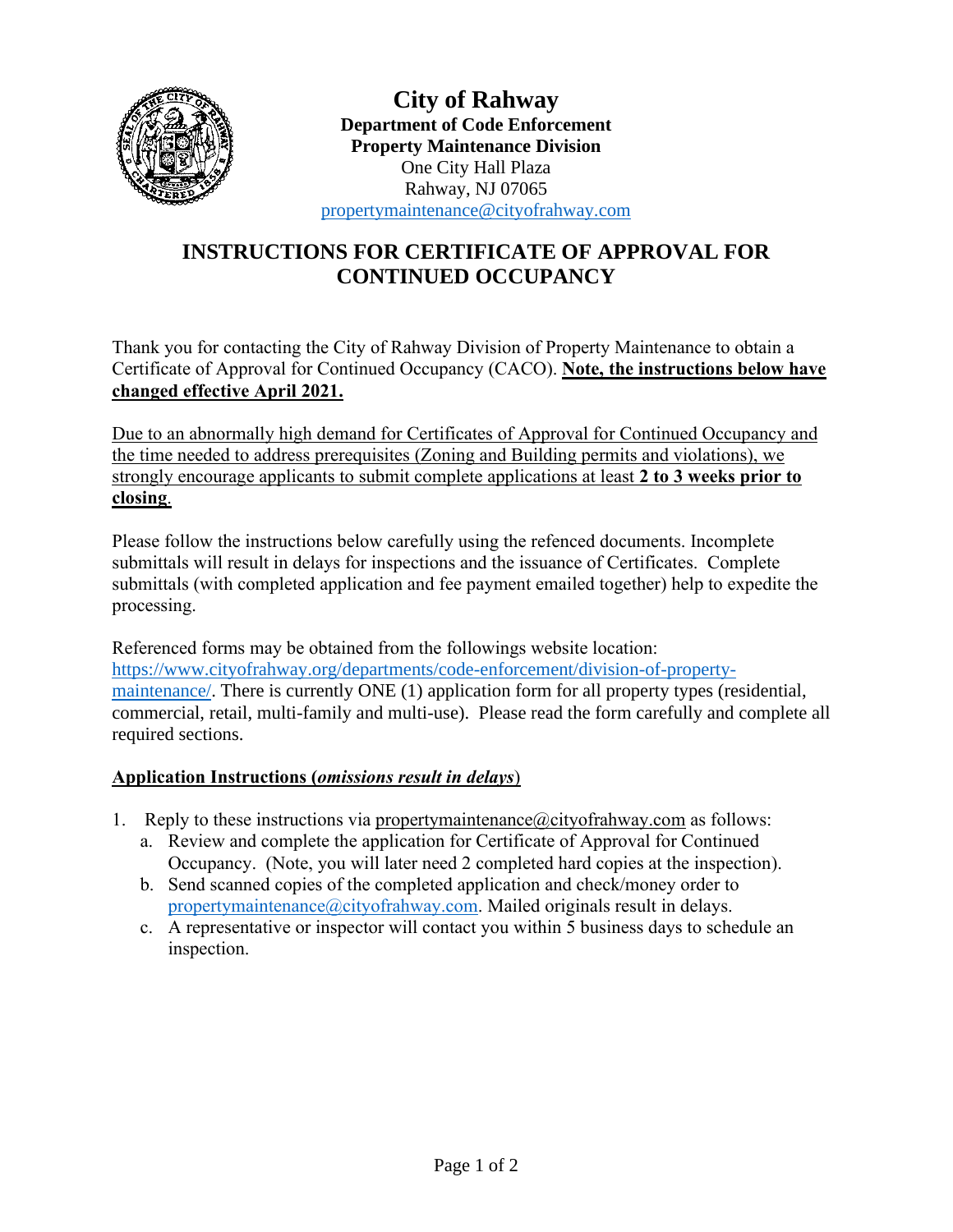

**City of Rahway Department of Code Enforcement Property Maintenance Division** One City Hall Plaza Rahway, NJ 07065 [propertymaintenance@cityofrahway.com](mailto:propertymaintenance@cityofrahway.com)

## **INSTRUCTIONS FOR CERTIFICATE OF APPROVAL FOR CONTINUED OCCUPANCY**

Thank you for contacting the City of Rahway Division of Property Maintenance to obtain a Certificate of Approval for Continued Occupancy (CACO). **Note, the instructions below have changed effective April 2021.** 

Due to an abnormally high demand for Certificates of Approval for Continued Occupancy and the time needed to address prerequisites (Zoning and Building permits and violations), we strongly encourage applicants to submit complete applications at least **2 to 3 weeks prior to closing**.

Please follow the instructions below carefully using the refenced documents. Incomplete submittals will result in delays for inspections and the issuance of Certificates. Complete submittals (with completed application and fee payment emailed together) help to expedite the processing.

Referenced forms may be obtained from the followings website location: [https://www.cityofrahway.org/departments/code-enforcement/division-of-property](https://www.cityofrahway.org/departments/code-enforcement/division-of-property-maintenance/)[maintenance/.](https://www.cityofrahway.org/departments/code-enforcement/division-of-property-maintenance/) There is currently ONE (1) application form for all property types (residential, commercial, retail, multi-family and multi-use). Please read the form carefully and complete all required sections.

## **Application Instructions (***omissions result in delays*)

- 1. Reply to these instructions via propertymaintenance  $@city$  of the axis follows:
	- a. Review and complete the application for Certificate of Approval for Continued Occupancy. (Note, you will later need 2 completed hard copies at the inspection).
		- b. Send scanned copies of the completed application and check/money order to [propertymaintenance@cityofrahway.com.](mailto:propertymaintenance@cityofrahway.com) Mailed originals result in delays.
		- c. A representative or inspector will contact you within 5 business days to schedule an inspection.